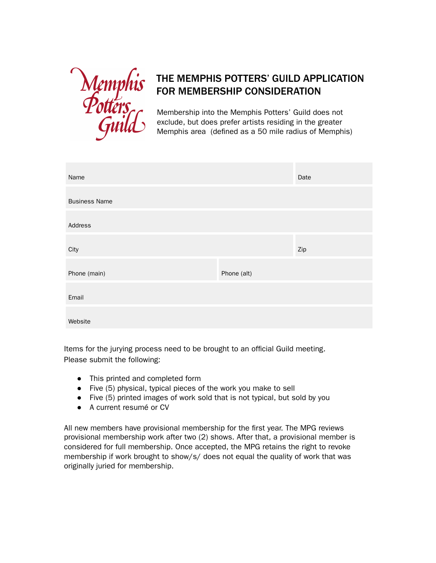

## THE MEMPHIS POTTERS' GUILD APPLICATION FOR MEMBERSHIP CONSIDERATION

Membership into the Memphis Potters' Guild does not exclude, but does prefer artists residing in the greater Memphis area (defined as a 50 mile radius of Memphis)

| Name                 |             | Date |
|----------------------|-------------|------|
| <b>Business Name</b> |             |      |
| Address              |             |      |
| City                 |             | Zip  |
| Phone (main)         | Phone (alt) |      |
| Email                |             |      |
| Website              |             |      |

Items for the jurying process need to be brought to an official Guild meeting. Please submit the following:

- This printed and completed form
- Five (5) physical, typical pieces of the work you make to sell
- Five (5) printed images of work sold that is not typical, but sold by you
- A current resumé or CV

All new members have provisional membership for the first year. The MPG reviews provisional membership work after two (2) shows. After that, a provisional member is considered for full membership. Once accepted, the MPG retains the right to revoke membership if work brought to show/s/ does not equal the quality of work that was originally juried for membership.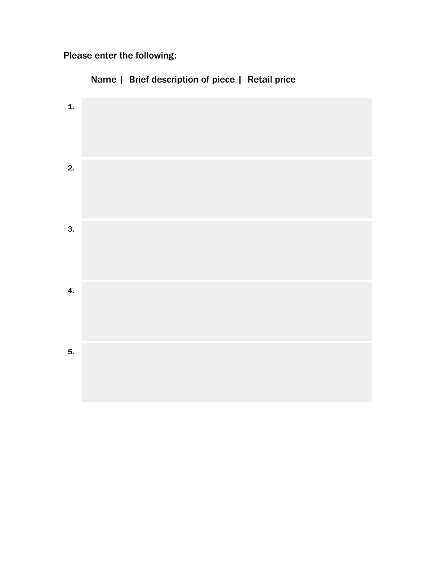Please enter the following:

Name | Brief description of piece | Retail price